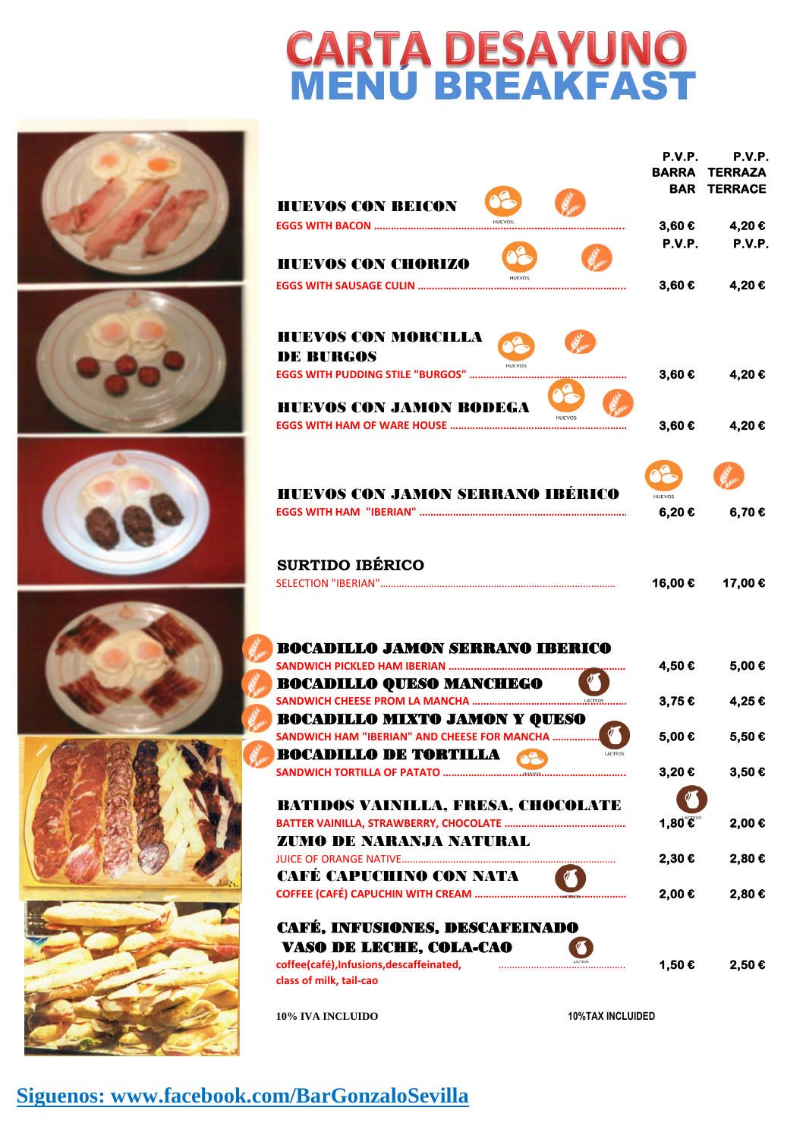## **CARTA DESAYUNO<br>MENÚ BREAKFAST**

|                                              | P.V.P.        | P.V.P.               |
|----------------------------------------------|---------------|----------------------|
|                                              |               | <b>BARRA TERRAZA</b> |
|                                              |               | <b>BAR TERRACE</b>   |
| <b>HUEVOS CON BEICON</b>                     |               |                      |
| <b>EGGS WITH BACON </b>                      | 3,60€         | 4,20€                |
|                                              | P.V.P.        | P.V.P.               |
| <b>HUEVOS CON CHORIZO</b>                    |               |                      |
| <b>EGGS WITH SAUSAGE CULIN </b>              | 3,60€         | 4,20€                |
|                                              |               |                      |
|                                              |               |                      |
| <b>HUEVOS CON MORCILLA</b>                   |               |                      |
| <b>DE BURGOS</b>                             |               |                      |
| <b>EGGS WITH PUDDING STILE "BURGOS" </b>     | 3,60€         | 4,20€                |
|                                              |               |                      |
| <b>HUEVOS CON JAMON BODEGA</b><br>HUEVOS     |               |                      |
| <b>EGGS WITH HAM OF WARE HOUSE </b>          | 3,60€         | 4,20€                |
|                                              |               |                      |
|                                              |               |                      |
|                                              |               |                      |
| <b>HUEVOS CON JAMON SERRANO IBÉRICO</b>      | <b>HUEVOS</b> |                      |
|                                              | 6,20€         | 6,70€                |
|                                              |               |                      |
| <b>SURTIDO IBÉRICO</b>                       |               |                      |
| SELECTION "IBERIAN"                          | 16,00€        | 17,00€               |
|                                              |               |                      |
|                                              |               |                      |
| <b>BOCADILLO JAMON SERRANO IBERICO</b>       |               |                      |
| SANDWICH PICKLED HAM IBERIAN                 | 4,50€         | 5,00€                |
| <b>BOCADILLO QUESO MANCHEGO</b>              |               |                      |
| <b>SANDWICH CHEESE PROM LA MANCHA </b>       | 3,75€         | 4,25€                |
| <b>BOCADILLO MIXTO JAMON Y QUESO</b>         |               |                      |
| SANDWICH HAM "IBERIAN" AND CHEESE FOR MANCHA | 5,00€         | 5,50€                |
| <b>BOCADILLO DE TORTILLA</b><br>LACTEOS      |               |                      |
| <b>SANDWICH TORTILLA OF PATATO </b>          | 3,20€         | 3,50€                |
|                                              |               |                      |
| <b>BATIDOS VAINILLA, FRESA, CHOCOLATE</b>    |               |                      |
|                                              | 1,80€         | 2,00€                |
| <b>ZUMO DE NARANJA NATURAL</b>               |               |                      |
|                                              | 2,30€         | 2,80€                |
|                                              |               |                      |
|                                              |               |                      |
| CAFÉ CAPUCHINO CON NATA                      |               |                      |
| COFFEE (CAFÉ) CAPUCHIN WITH CREAM            | 2,00€         | 2,80€                |
| CAFÉ, INFUSIONES, DESCAFEINADO               |               |                      |
| <b>VASO DE LECHE, COLA-CAO</b>               |               |                      |
| coffee(café), Infusions, descaffeinated,     | 1,50€         | 2,50€                |
| class of milk, tail-cao                      |               |                      |
|                                              |               |                      |













**Siguenos: www.facebook.com/BarGonzaloSevilla**